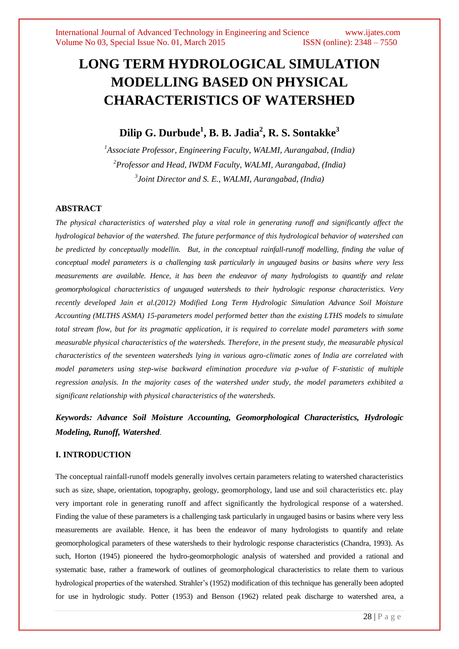# **LONG TERM HYDROLOGICAL SIMULATION MODELLING BASED ON PHYSICAL CHARACTERISTICS OF WATERSHED**

# **Dilip G. Durbude<sup>1</sup> , B. B. Jadia<sup>2</sup> , R. S. Sontakke<sup>3</sup>**

*<sup>1</sup>Associate Professor, Engineering Faculty, WALMI, Aurangabad, (India) <sup>2</sup>Professor and Head, IWDM Faculty, WALMI, Aurangabad, (India) 3 Joint Director and S. E., WALMI, Aurangabad, (India)*

# **ABSTRACT**

*The physical characteristics of watershed play a vital role in generating runoff and significantly affect the hydrological behavior of the watershed. The future performance of this hydrological behavior of watershed can be predicted by conceptually modellin. But, in the conceptual rainfall-runoff modelling, finding the value of conceptual model parameters is a challenging task particularly in ungauged basins or basins where very less measurements are available. Hence, it has been the endeavor of many hydrologists to quantify and relate geomorphological characteristics of ungauged watersheds to their hydrologic response characteristics. Very recently developed Jain et al.(2012) Modified Long Term Hydrologic Simulation Advance Soil Moisture Accounting (MLTHS ASMA) 15-parameters model performed better than the existing LTHS models to simulate total stream flow, but for its pragmatic application, it is required to correlate model parameters with some measurable physical characteristics of the watersheds. Therefore, in the present study, the measurable physical characteristics of the seventeen watersheds lying in various agro-climatic zones of India are correlated with model parameters using step-wise backward elimination procedure via p-value of F-statistic of multiple regression analysis. In the majority cases of the watershed under study, the model parameters exhibited a significant relationship with physical characteristics of the watersheds.* 

*Keywords: Advance Soil Moisture Accounting, Geomorphological Characteristics, Hydrologic Modeling, Runoff, Watershed.*

# **I. INTRODUCTION**

The conceptual rainfall-runoff models generally involves certain parameters relating to watershed characteristics such as size, shape, orientation, topography, geology, geomorphology, land use and soil characteristics etc. play very important role in generating runoff and affect significantly the hydrological response of a watershed. Finding the value of these parameters is a challenging task particularly in ungauged basins or basins where very less measurements are available. Hence, it has been the endeavor of many hydrologists to quantify and relate geomorphological parameters of these watersheds to their hydrologic response characteristics (Chandra, 1993). As such, Horton (1945) pioneered the hydro-geomorphologic analysis of watershed and provided a rational and systematic base, rather a framework of outlines of geomorphological characteristics to relate them to various hydrological properties of the watershed. Strahler"s (1952) modification of this technique has generally been adopted for use in hydrologic study. Potter (1953) and Benson (1962) related peak discharge to watershed area, a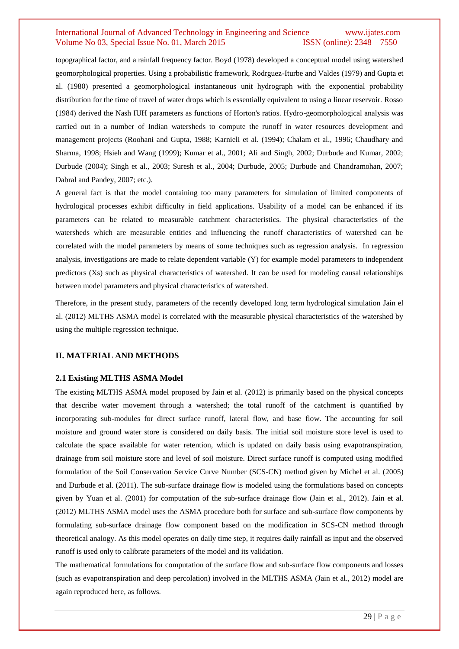topographical factor, and a rainfall frequency factor. Boyd (1978) developed a conceptual model using watershed geomorphological properties. Using a probabilistic framework, Rodrguez-Iturbe and Valdes (1979) and Gupta et al. (1980) presented a geomorphological instantaneous unit hydrograph with the exponential probability distribution for the time of travel of water drops which is essentially equivalent to using a linear reservoir. Rosso (1984) derived the Nash IUH parameters as functions of Horton's ratios. Hydro-geomorphological analysis was carried out in a number of Indian watersheds to compute the runoff in water resources development and management projects (Roohani and Gupta, 1988; Karnieli et al. (1994); Chalam et al., 1996; Chaudhary and Sharma, 1998; Hsieh and Wang (1999); Kumar et al., 2001; Ali and Singh, 2002; Durbude and Kumar, 2002; Durbude (2004); Singh et al., 2003; Suresh et al., 2004; Durbude, 2005; Durbude and Chandramohan, 2007; Dabral and Pandey, 2007; etc.).

A general fact is that the model containing too many parameters for simulation of limited components of hydrological processes exhibit difficulty in field applications. Usability of a model can be enhanced if its parameters can be related to measurable catchment characteristics. The physical characteristics of the watersheds which are measurable entities and influencing the runoff characteristics of watershed can be correlated with the model parameters by means of some techniques such as regression analysis. In regression analysis, investigations are made to relate dependent variable (Y) for example model parameters to independent predictors (Xs) such as physical characteristics of watershed. It can be used for modeling causal relationships between model parameters and physical characteristics of watershed.

Therefore, in the present study, parameters of the recently developed long term hydrological simulation Jain el al. (2012) MLTHS ASMA model is correlated with the measurable physical characteristics of the watershed by using the multiple regression technique.

### **II. MATERIAL AND METHODS**

#### **2.1 Existing MLTHS ASMA Model**

The existing MLTHS ASMA model proposed by Jain et al. (2012) is primarily based on the physical concepts that describe water movement through a watershed; the total runoff of the catchment is quantified by incorporating sub-modules for direct surface runoff, lateral flow, and base flow. The accounting for soil moisture and ground water store is considered on daily basis. The initial soil moisture store level is used to calculate the space available for water retention, which is updated on daily basis using evapotranspiration, drainage from soil moisture store and level of soil moisture. Direct surface runoff is computed using modified formulation of the Soil Conservation Service Curve Number (SCS-CN) method given by Michel et al. (2005) and Durbude et al. (2011). The sub-surface drainage flow is modeled using the formulations based on concepts given by Yuan et al. (2001) for computation of the sub-surface drainage flow (Jain et al., 2012). Jain et al. (2012) MLTHS ASMA model uses the ASMA procedure both for surface and sub-surface flow components by formulating sub-surface drainage flow component based on the modification in SCS-CN method through theoretical analogy. As this model operates on daily time step, it requires daily rainfall as input and the observed runoff is used only to calibrate parameters of the model and its validation.

The mathematical formulations for computation of the surface flow and sub-surface flow components and losses (such as evapotranspiration and deep percolation) involved in the MLTHS ASMA (Jain et al., 2012) model are again reproduced here, as follows.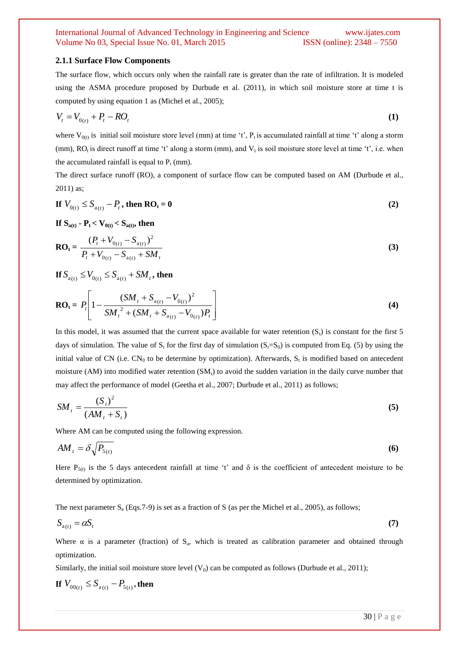#### **2.1.1 Surface Flow Components**

The surface flow, which occurs only when the rainfall rate is greater than the rate of infiltration. It is modeled using the ASMA procedure proposed by Durbude et al. (2011), in which soil moisture store at time t is computed by using equation 1 as (Michel et al., 2005);

$$
V_t = V_{0(t)} + P_t - RO_t \tag{1}
$$

where  $V_{0(t)}$  is initial soil moisture store level (mm) at time 't',  $P_t$  is accumulated rainfall at time 't' along a storm (mm),  $RO_t$  is direct runoff at time 't' along a storm (mm), and  $V_t$  is soil moisture store level at time 't', i.e. when the accumulated rainfall is equal to  $P_t$  (mm).

The direct surface runoff (RO), a component of surface flow can be computed based on AM (Durbude et al., 2011) as;

$$
\text{If } V_{0(t)} \le S_{a(t)} - P_t, \text{ then } \mathbf{RO}_t = \mathbf{0} \tag{2}
$$

**If**  $S_{a(t)}$  **-**  $P_t < V_{0(t)} < S_{a(t)}$ , then

$$
RO_{t} = \frac{(P_{t} + V_{0(t)} - S_{a(t)})^{2}}{P_{t} + V_{0(t)} - S_{a(t)} + SM_{t}}
$$
(3)

**If**  $S_{a(t)} \le V_{0(t)} \le S_{a(t)} + SM_t$ , then

$$
RO_{t} = P_{t} \left[ 1 - \frac{(SM_{t} + S_{a(t)} - V_{0(t)})^{2}}{SM_{t}^{2} + (SM_{t} + S_{a(t)} - V_{0(t)})P_{t}} \right]
$$
(4)

In this model, it was assumed that the current space available for water retention  $(S_t)$  is constant for the first 5 days of simulation. The value of  $S_t$  for the first day of simulation  $(S_t=S_0)$  is computed from Eq. (5) by using the initial value of CN (i.e.  $CN_0$  to be determine by optimization). Afterwards,  $S_t$  is modified based on antecedent moisture (AM) into modified water retention  $(SM_t)$  to avoid the sudden variation in the daily curve number that may affect the performance of model (Geetha et al., 2007; Durbude et al., 2011) as follows;

$$
SM_{t} = \frac{(S_{t})^{2}}{(AM_{t} + S_{t})}
$$
\n(5)

Where AM can be computed using the following expression.

$$
AM_t = \delta \sqrt{P_{5(t)}} \tag{6}
$$

Here  $P_{5(t)}$  is the 5 days antecedent rainfall at time 't' and  $\delta$  is the coefficient of antecedent moisture to be determined by optimization.

The next parameter  $S_a$  (Eqs.7-9) is set as a fraction of S (as per the Michel et al., 2005), as follows;

$$
S_{a(t)} = \alpha S_t \tag{7}
$$

Where  $\alpha$  is a parameter (fraction) of  $S_a$ , which is treated as calibration parameter and obtained through optimization.

Similarly, the initial soil moisture store level  $(V_0)$  can be computed as follows (Durbude et al., 2011);

If 
$$
V_{00(t)} \leq S_{a(t)} - P_{5(t)}
$$
, then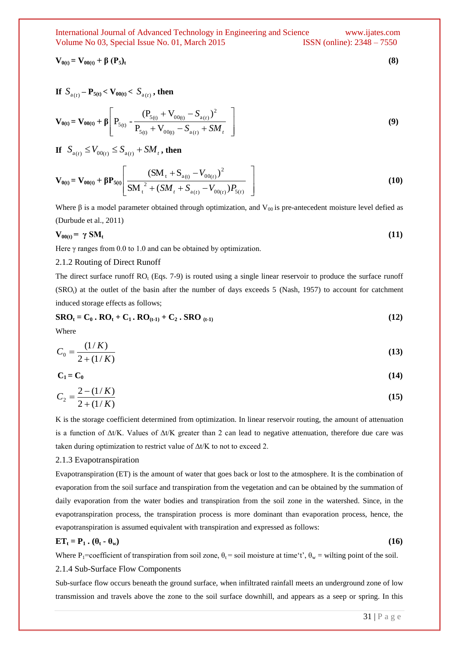$$
\mathbf{V}_{0(t)} = \mathbf{V}_{00(t)} + \beta (\mathbf{P}_5)_t \tag{8}
$$

If 
$$
S_{a(t)} - P_{5(t)} < V_{00(t)} < S_{a(t)}
$$
, then

$$
\mathbf{V}_{0(t)} = \mathbf{V}_{00(t)} + \beta \left[ P_{5(t)} - \frac{(P_{5(t)} + V_{00(t)} - S_{a(t)})^2}{P_{5(t)} + V_{00(t)} - S_{a(t)} + SM_t} \right]
$$
(9)

**If**  $S_{a(t)} \le V_{00(t)} \le S_{a(t)} + SM_t$ , then

$$
\mathbf{V}_{0(t)} = \mathbf{V}_{00(t)} + \beta \mathbf{P}_{5(t)} \left[ \frac{(SM_{t} + S_{a(t)} - V_{00(t)})^{2}}{SM_{t}^{2} + (SM_{t} + S_{a(t)} - V_{00(t)})P_{5(t)}} \right]
$$
(10)

Where  $\beta$  is a model parameter obtained through optimization, and  $V_{00}$  is pre-antecedent moisture level defied as (Durbude et al., 2011)

$$
V_{00(t)} = \gamma SM_t \tag{11}
$$

Here  $\gamma$  ranges from 0.0 to 1.0 and can be obtained by optimization.

#### 2.1.2 Routing of Direct Runoff

The direct surface runoff  $RO<sub>t</sub>$  (Eqs. 7-9) is routed using a single linear reservoir to produce the surface runoff  $(SRO<sub>t</sub>)$  at the outlet of the basin after the number of days exceeds 5 (Nash, 1957) to account for catchment induced storage effects as follows;

$$
\text{SRO}_{t} = C_{0} \cdot \text{RO}_{t} + C_{1} \cdot \text{RO}_{(t-1)} + C_{2} \cdot \text{SRO}_{(t-1)}
$$
\n
$$
\tag{12}
$$

Where

$$
C_0 = \frac{(1/K)}{2 + (1/K)}
$$
\n(13)

$$
C_1 = C_0 \tag{14}
$$

$$
C_2 = \frac{2 - (1/K)}{2 + (1/K)}\tag{15}
$$

K is the storage coefficient determined from optimization. In linear reservoir routing, the amount of attenuation is a function of Δt/K. Values of Δt/K greater than 2 can lead to negative attenuation, therefore due care was taken during optimization to restrict value of  $\Delta t/K$  to not to exceed 2.

#### 2.1.3 Evapotranspiration

Evapotranspiration (ET) is the amount of water that goes back or lost to the atmosphere. It is the combination of evaporation from the soil surface and transpiration from the vegetation and can be obtained by the summation of daily evaporation from the water bodies and transpiration from the soil zone in the watershed. Since, in the evapotranspiration process, the transpiration process is more dominant than evaporation process, hence, the evapotranspiration is assumed equivalent with transpiration and expressed as follows:

# $ET_t = P_1 \cdot (\theta_t - \theta_w)$  (16)

Where P<sub>1</sub>=coefficient of transpiration from soil zone,  $\theta_1$  = soil moisture at time't',  $\theta_w$  = wilting point of the soil.

#### 2.1.4 Sub-Surface Flow Components

Sub-surface flow occurs beneath the ground surface, when infiltrated rainfall meets an underground zone of low transmission and travels above the zone to the soil surface downhill, and appears as a seep or spring. In this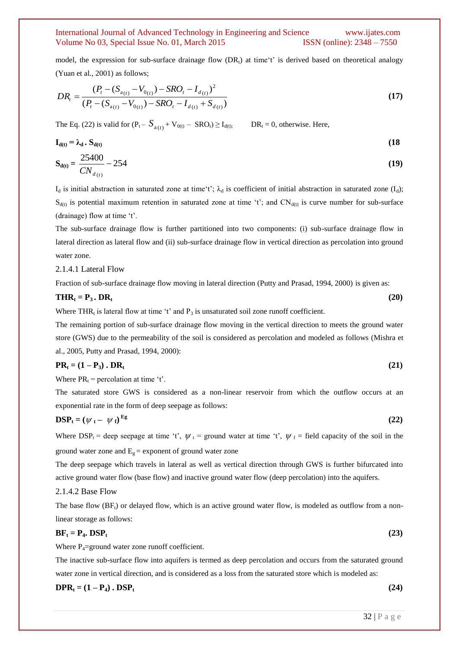model, the expression for sub-surface drainage flow  $(DR_t)$  at time't' is derived based on theoretical analogy (Yuan et al., 2001) as follows;

$$
DR_{t} = \frac{(P_{t} - (S_{a_{(t)}} - V_{0_{(t)}}) - SRO_{t} - I_{d_{(t)}})^{2}}{(P_{t} - (S_{a_{(t)}} - V_{0_{(t)}}) - SRO_{t} - I_{d_{(t)}} + S_{d_{(t)}})}
$$
\n(17)

The Eq. (22) is valid for  $(P_t - S_{a(t)})$  $DR_t = 0$ , otherwise. Here,

$$
\mathbf{I}_{d(t)} = \lambda_d \cdot \mathbf{S}_{d(t)} \tag{18}
$$
\n
$$
\mathbf{S}_{d(t)} = \frac{25400}{CN_{d(t)}} - 254 \tag{19}
$$

 $I_d$  is initial abstraction in saturated zone at time't';  $\lambda_d$  is coefficient of initial abstraction in saturated zone  $(I_d)$ ;  $S_{d(t)}$  is potential maximum retention in saturated zone at time 't'; and CN<sub>d(t)</sub> is curve number for sub-surface (drainage) flow at time "t".

The sub-surface drainage flow is further partitioned into two components: (i) sub-surface drainage flow in lateral direction as lateral flow and (ii) sub-surface drainage flow in vertical direction as percolation into ground water zone.

#### 2.1.4.1 Lateral Flow

Fraction of sub-surface drainage flow moving in lateral direction (Putty and Prasad, 1994, 2000) is given as:

# $\mathbf{THR}_t = \mathbf{P}_3 \cdot \mathbf{DR}_t$  (20)

Where THR<sub>t</sub> is lateral flow at time 't' and  $P_3$  is unsaturated soil zone runoff coefficient.

The remaining portion of sub-surface drainage flow moving in the vertical direction to meets the ground water store (GWS) due to the permeability of the soil is considered as percolation and modeled as follows (Mishra et al., 2005, Putty and Prasad, 1994, 2000):

$$
PR_t = (1 - P_3) \cdot DR_t \tag{21}
$$

Where  $PR_t$  = percolation at time 't'.

The saturated store GWS is considered as a non-linear reservoir from which the outflow occurs at an exponential rate in the form of deep seepage as follows:

$$
\text{DSP}_{t} = (\psi_t - \psi_t)^{\text{Eg}}
$$
 (22)

Where DSP<sub>t</sub> = deep seepage at time 't',  $\psi_t$  = ground water at time 't',  $\psi_f$  = field capacity of the soil in the ground water zone and  $E<sub>g</sub>$  = exponent of ground water zone

The deep seepage which travels in lateral as well as vertical direction through GWS is further bifurcated into active ground water flow (base flow) and inactive ground water flow (deep percolation) into the aquifers.

#### 2.1.4.2 Base Flow

The base flow  $(BF_t)$  or delayed flow, which is an active ground water flow, is modeled as outflow from a nonlinear storage as follows:

# $BF_t = P_4$ **.** DSP<sub>t</sub> (23)

Where  $P_4$ =ground water zone runoff coefficient.

The inactive sub-surface flow into aquifers is termed as deep percolation and occurs from the saturated ground water zone in vertical direction, and is considered as a loss from the saturated store which is modeled as:

$$
DPR_t = (1 - P_4) \cdot DSP_t \tag{24}
$$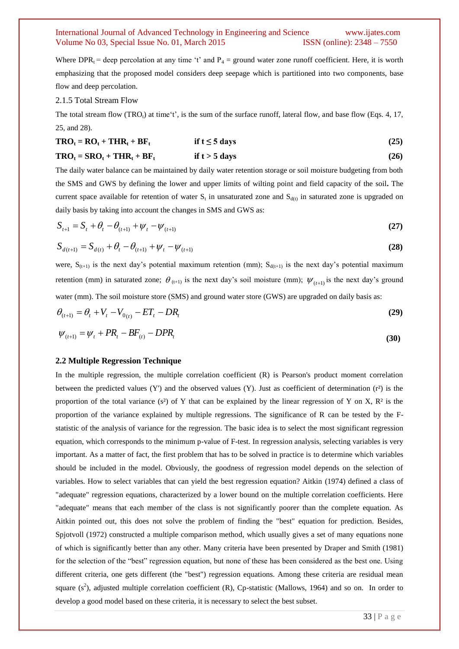Where  $DPR_t$  = deep percolation at any time 't' and  $P_4$  = ground water zone runoff coefficient. Here, it is worth emphasizing that the proposed model considers deep seepage which is partitioned into two components, base flow and deep percolation.

#### 2.1.5 Total Stream Flow

The total stream flow (TRO<sub>t</sub>) at time't', is the sum of the surface runoff, lateral flow, and base flow (Eqs. 4, 17, 25, and 28).

| $TRO_t = RO_t + THR_t + BF_t$  | if $t \leq 5$ days | (25) |
|--------------------------------|--------------------|------|
| $TRO_t = SRO_t + THR_t + BF_t$ | if $t > 5$ days    | (26) |

The daily water balance can be maintained by daily water retention storage or soil moisture budgeting from both the SMS and GWS by defining the lower and upper limits of wilting point and field capacity of the soil**.** The current space available for retention of water  $S_t$  in unsaturated zone and  $S_{d(t)}$  in saturated zone is upgraded on daily basis by taking into account the changes in SMS and GWS as:

$$
S_{t+1} = S_t + \theta_t - \theta_{(t+1)} + \psi_t - \psi_{(t+1)}
$$
\n(27)

$$
S_{d(t+1)} = S_{d(t)} + \theta_t - \theta_{(t+1)} + \psi_t - \psi_{(t+1)}
$$
\n(28)

were,  $S_{(t+1)}$  is the next day's potential maximum retention (mm);  $S_{d(t+1)}$  is the next day's potential maximum retention (mm) in saturated zone;  $\theta_{(t+1)}$  is the next day's soil moisture (mm);  $\psi_{(t+1)}$  is the next day's ground water (mm). The soil moisture store (SMS) and ground water store (GWS) are upgraded on daily basis as:

$$
\theta_{_{(t+1)}} = \theta_t + V_t - V_{0(t)} - ET_t - DR_t \tag{29}
$$

$$
\psi_{(t+1)} = \psi_t + PR_t - BF_{(t)} - DPR_t \tag{30}
$$

#### **2.2 Multiple Regression Technique**

In the multiple regression, the multiple correlation coefficient (R) is Pearson's product moment correlation between the predicted values (Y') and the observed values (Y). Just as coefficient of determination  $(r^2)$  is the proportion of the total variance (s<sup>2</sup>) of Y that can be explained by the linear regression of Y on X,  $\mathbb{R}^2$  is the proportion of the variance explained by multiple regressions. The significance of R can be tested by the Fstatistic of the analysis of variance for the regression. The basic idea is to select the most significant regression equation, which corresponds to the minimum p-value of F-test. In regression analysis, selecting variables is very important. As a matter of fact, the first problem that has to be solved in practice is to determine which variables should be included in the model. Obviously, the goodness of regression model depends on the selection of variables. How to select variables that can yield the best regression equation? Aitkin (1974) defined a class of "adequate" regression equations, characterized by a lower bound on the multiple correlation coefficients. Here "adequate" means that each member of the class is not significantly poorer than the complete equation. As Aitkin pointed out, this does not solve the problem of finding the "best" equation for prediction. Besides, Spjotvoll (1972) constructed a multiple comparison method, which usually gives a set of many equations none of which is significantly better than any other. Many criteria have been presented by Draper and Smith (1981) for the selection of the "best" regression equation, but none of these has been considered as the best one. Using different criteria, one gets different (the "best") regression equations. Among these criteria are residual mean square  $(s^2)$ , adjusted multiple correlation coefficient (R), Cp-statistic (Mallows, 1964) and so on. In order to develop a good model based on these criteria, it is necessary to select the best subset.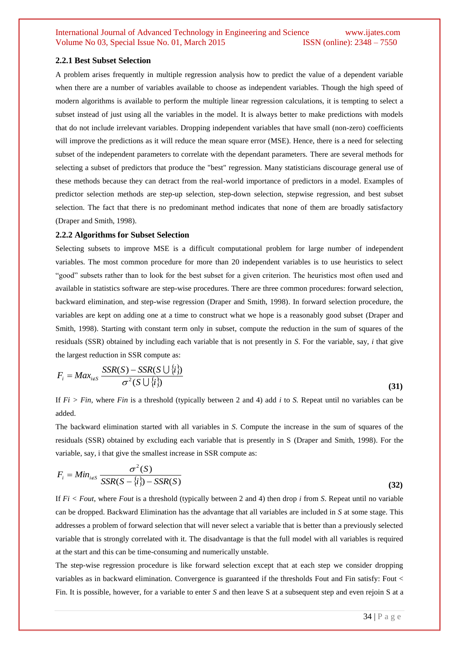#### **2.2.1 Best Subset Selection**

A problem arises frequently in multiple regression analysis how to predict the value of a dependent variable when there are a number of variables available to choose as independent variables. Though the high speed of modern algorithms is available to perform the multiple linear regression calculations, it is tempting to select a subset instead of just using all the variables in the model. It is always better to make predictions with models that do not include irrelevant variables. Dropping independent variables that have small (non-zero) coefficients will improve the predictions as it will reduce the mean square error (MSE). Hence, there is a need for selecting subset of the independent parameters to correlate with the dependant parameters. There are several methods for selecting a subset of predictors that produce the "best" regression. Many statisticians discourage general use of these methods because they can detract from the real-world importance of predictors in a model. Examples of predictor selection methods are step-up selection, step-down selection, stepwise regression, and best subset selection. The fact that there is no predominant method indicates that none of them are broadly satisfactory [\(Draper and Smith, 1998\).](http://www.statsdirect.com/help/references/refs.htm)

#### **2.2.2 Algorithms for Subset Selection**

Selecting subsets to improve MSE is a difficult computational problem for large number of independent variables. The most common procedure for more than 20 independent variables is to use heuristics to select "good" subsets rather than to look for the best subset for a given criterion. The heuristics most often used and available in statistics software are step-wise procedures. There are three common procedures: forward selection, backward elimination, and step-wise regression [\(Draper and Smith, 1998\).](http://www.statsdirect.com/help/references/refs.htm) In forward selection procedure, the variables are kept on adding one at a time to construct what we hope is a reasonably good subset [\(Draper and](http://www.statsdirect.com/help/references/refs.htm)  [Smith, 1998\).](http://www.statsdirect.com/help/references/refs.htm) Starting with constant term only in subset, compute the reduction in the sum of squares of the residuals (SSR) obtained by including each variable that is not presently in *S*. For the variable, say, *i* that give the largest reduction in SSR compute as:

$$
F_i = Max_{i \notin S} \frac{SSR(S) - SSR(S \cup \{i\})}{\sigma^2(S \cup \{i\})}
$$
\n(31)

If *Fi > Fin*, where *Fin* is a threshold (typically between 2 and 4) add *i* to *S.* Repeat until no variables can be added.

The backward elimination started with all variables in *S*. Compute the increase in the sum of squares of the residuals (SSR) obtained by excluding each variable that is presently in S [\(Draper and Smith, 1998\).](http://www.statsdirect.com/help/references/refs.htm) For the variable, say, i that give the smallest increase in SSR compute as:

$$
F_i = Min_{i \notin S} \frac{\sigma^2(S)}{SSR(S - \{i\}) - SSR(S)}
$$
\n(32)

If *Fi < Fout*, where *Fout* is a threshold (typically between 2 and 4) then drop *i* from *S*. Repeat until no variable can be dropped. Backward Elimination has the advantage that all variables are included in *S* at some stage. This addresses a problem of forward selection that will never select a variable that is better than a previously selected variable that is strongly correlated with it. The disadvantage is that the full model with all variables is required at the start and this can be time-consuming and numerically unstable.

The step-wise regression procedure is like forward selection except that at each step we consider dropping variables as in backward elimination. Convergence is guaranteed if the thresholds Fout and Fin satisfy: Fout < Fin. It is possible, however, for a variable to enter *S* and then leave S at a subsequent step and even rejoin S at a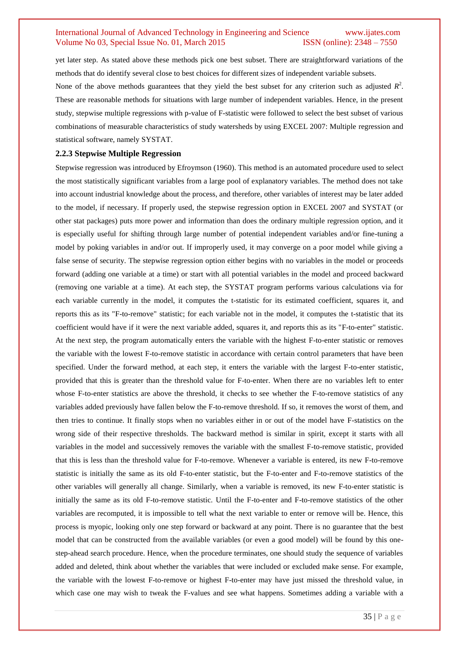yet later step. As stated above these methods pick one best subset. There are straightforward variations of the methods that do identify several close to best choices for different sizes of independent variable subsets.

None of the above methods guarantees that they yield the best subset for any criterion such as adjusted  $R^2$ . These are reasonable methods for situations with large number of independent variables. Hence, in the present study, stepwise multiple regressions with p-value of F-statistic were followed to select the best subset of various combinations of measurable characteristics of study watersheds by using EXCEL 2007: Multiple regression and statistical software, namely SYSTAT.

#### **2.2.3 Stepwise Multiple Regression**

Stepwise regression was introduced by Efroymson (1960). This method is an automated procedure used to select the most statistically significant variables from a large pool of explanatory variables. The method does not take into account industrial knowledge about the process, and therefore, other variables of interest may be later added to the model, if necessary. If properly used, the stepwise regression option in EXCEL 2007 and SYSTAT (or other stat packages) puts more power and information than does the ordinary multiple regression option, and it is especially useful for shifting through large number of potential independent variables and/or fine-tuning a model by poking variables in and/or out. If improperly used, it may converge on a poor model while giving a false sense of security. The stepwise regression option either begins with no variables in the model or proceeds forward (adding one variable at a time) or start with all potential variables in the model and proceed backward (removing one variable at a time). At each step, the SYSTAT program performs various calculations via for each variable currently in the model, it computes the t-statistic for its estimated coefficient, squares it, and reports this as its "F-to-remove" statistic; for each variable not in the model, it computes the t-statistic that its coefficient would have if it were the next variable added, squares it, and reports this as its "F-to-enter" statistic. At the next step, the program automatically enters the variable with the highest F-to-enter statistic or removes the variable with the lowest F-to-remove statistic in accordance with certain control parameters that have been specified. Under the forward method, at each step, it enters the variable with the largest F-to-enter statistic, provided that this is greater than the threshold value for F-to-enter. When there are no variables left to enter whose F-to-enter statistics are above the threshold, it checks to see whether the F-to-remove statistics of any variables added previously have fallen below the F-to-remove threshold. If so, it removes the worst of them, and then tries to continue. It finally stops when no variables either in or out of the model have F-statistics on the wrong side of their respective thresholds. The backward method is similar in spirit, except it starts with all variables in the model and successively removes the variable with the smallest F-to-remove statistic, provided that this is less than the threshold value for F-to-remove. Whenever a variable is entered, its new F-to-remove statistic is initially the same as its old F-to-enter statistic, but the F-to-enter and F-to-remove statistics of the other variables will generally all change. Similarly, when a variable is removed, its new F-to-enter statistic is initially the same as its old F-to-remove statistic. Until the F-to-enter and F-to-remove statistics of the other variables are recomputed, it is impossible to tell what the next variable to enter or remove will be. Hence, this process is myopic, looking only one step forward or backward at any point. There is no guarantee that the best model that can be constructed from the available variables (or even a good model) will be found by this onestep-ahead search procedure. Hence, when the procedure terminates, one should study the sequence of variables added and deleted, think about whether the variables that were included or excluded make sense. For example, the variable with the lowest F-to-remove or highest F-to-enter may have just missed the threshold value, in which case one may wish to tweak the F-values and see what happens. Sometimes adding a variable with a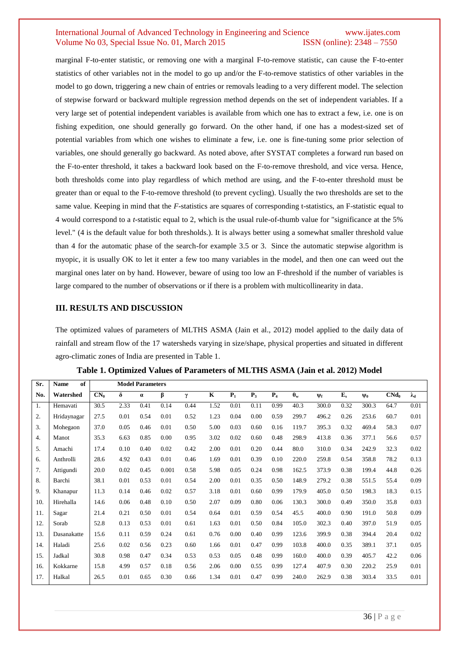marginal F-to-enter statistic, or removing one with a marginal F-to-remove statistic, can cause the F-to-enter statistics of other variables not in the model to go up and/or the F-to-remove statistics of other variables in the model to go down, triggering a new chain of entries or removals leading to a very different model. The selection of stepwise forward or backward multiple regression method depends on the set of independent variables. If a very large set of potential independent variables is available from which one has to extract a few, i.e. one is on fishing expedition, one should generally go forward. On the other hand, if one has a modest-sized set of potential variables from which one wishes to eliminate a few, i.e. one is fine-tuning some prior selection of variables, one should generally go backward. As noted above, after SYSTAT completes a forward run based on the F-to-enter threshold, it takes a backward look based on the F-to-remove threshold, and vice versa. Hence, both thresholds come into play regardless of which method are using, and the F-to-enter threshold must be greater than or equal to the F-to-remove threshold (to prevent cycling). Usually the two thresholds are set to the same value. Keeping in mind that the *F*-statistics are squares of corresponding t-statistics, an F-statistic equal to 4 would correspond to a *t*-statistic equal to 2, which is the usual rule-of-thumb value for "significance at the 5% level." (4 is the default value for both thresholds.). It is always better using a somewhat smaller threshold value than 4 for the automatic phase of the search-for example 3.5 or 3. Since the automatic stepwise algorithm is myopic, it is usually OK to let it enter a few too many variables in the model, and then one can weed out the marginal ones later on by hand. However, beware of using too low an F-threshold if the number of variables is large compared to the number of observations or if there is a problem with multicollinearity in data.

### **III. RESULTS AND DISCUSSION**

The optimized values of parameters of MLTHS ASMA (Jain et al., 2012) model applied to the daily data of rainfall and stream flow of the 17 watersheds varying in size/shape, physical properties and situated in different agro-climatic zones of India are presented in Table 1.

| Sr. | <b>Name</b><br>of | <b>Model Parameters</b> |          |          |       |      |           |       |       |                |                  |          |         |          |         |             |
|-----|-------------------|-------------------------|----------|----------|-------|------|-----------|-------|-------|----------------|------------------|----------|---------|----------|---------|-------------|
| No. | Watershed         | $CN_0$                  | $\delta$ | $\alpha$ | β     | γ    | ${\bf K}$ | $P_1$ | $P_3$ | P <sub>4</sub> | $\theta_{\rm w}$ | $\Psi_f$ | $E_{s}$ | $\Psi_0$ | $CMd_0$ | $\lambda_d$ |
| 1.  | Hemavati          | 30.5                    | 2.33     | 0.41     | 0.14  | 0.44 | 1.52      | 0.01  | 0.11  | 0.99           | 40.3             | 300.0    | 0.32    | 300.3    | 64.7    | 0.01        |
| 2.  | Hridaynagar       | 27.5                    | 0.01     | 0.54     | 0.01  | 0.52 | 1.23      | 0.04  | 0.00  | 0.59           | 299.7            | 496.2    | 0.26    | 253.6    | 60.7    | 0.01        |
| 3.  | Mohegaon          | 37.0                    | 0.05     | 0.46     | 0.01  | 0.50 | 5.00      | 0.03  | 0.60  | 0.16           | 119.7            | 395.3    | 0.32    | 469.4    | 58.3    | 0.07        |
| 4.  | Manot             | 35.3                    | 6.63     | 0.85     | 0.00  | 0.95 | 3.02      | 0.02  | 0.60  | 0.48           | 298.9            | 413.8    | 0.36    | 377.1    | 56.6    | 0.57        |
| 5.  | Amachi            | 17.4                    | 0.10     | 0.40     | 0.02  | 0.42 | 2.00      | 0.01  | 0.20  | 0.44           | 80.0             | 310.0    | 0.34    | 242.9    | 32.3    | 0.02        |
| 6.  | Anthrolli         | 28.6                    | 4.92     | 0.43     | 0.01  | 0.46 | 1.69      | 0.01  | 0.39  | 0.10           | 220.0            | 259.8    | 0.54    | 358.8    | 78.2    | 0.13        |
| 7.  | Attigundi         | 20.0                    | 0.02     | 0.45     | 0.001 | 0.58 | 5.98      | 0.05  | 0.24  | 0.98           | 162.5            | 373.9    | 0.38    | 199.4    | 44.8    | 0.26        |
| 8.  | Barchi            | 38.1                    | 0.01     | 0.53     | 0.01  | 0.54 | 2.00      | 0.01  | 0.35  | 0.50           | 148.9            | 279.2    | 0.38    | 551.5    | 55.4    | 0.09        |
| 9.  | Khanapur          | 11.3                    | 0.14     | 0.46     | 0.02  | 0.57 | 3.18      | 0.01  | 0.60  | 0.99           | 179.9            | 405.0    | 0.50    | 198.3    | 18.3    | 0.15        |
| 10. | Hirehalla         | 14.6                    | 0.06     | 0.48     | 0.10  | 0.50 | 2.07      | 0.09  | 0.80  | 0.06           | 130.3            | 300.0    | 0.49    | 350.0    | 35.8    | 0.03        |
| 11. | Sagar             | 21.4                    | 0.21     | 0.50     | 0.01  | 0.54 | 0.64      | 0.01  | 0.59  | 0.54           | 45.5             | 400.0    | 0.90    | 191.0    | 50.8    | 0.09        |
| 12. | Sorab             | 52.8                    | 0.13     | 0.53     | 0.01  | 0.61 | 1.63      | 0.01  | 0.50  | 0.84           | 105.0            | 302.3    | 0.40    | 397.0    | 51.9    | 0.05        |
| 13. | Dasanakatte       | 15.6                    | 0.11     | 0.59     | 0.24  | 0.61 | 0.76      | 0.00  | 0.40  | 0.99           | 123.6            | 399.9    | 0.38    | 394.4    | 20.4    | 0.02        |
| 14. | Haladi            | 25.6                    | 0.02     | 0.56     | 0.23  | 0.60 | 1.66      | 0.01  | 0.47  | 0.99           | 103.8            | 400.0    | 0.35    | 389.1    | 37.1    | 0.05        |
| 15. | Jadkal            | 30.8                    | 0.98     | 0.47     | 0.34  | 0.53 | 0.53      | 0.05  | 0.48  | 0.99           | 160.0            | 400.0    | 0.39    | 405.7    | 42.2    | 0.06        |
| 16. | Kokkarne          | 15.8                    | 4.99     | 0.57     | 0.18  | 0.56 | 2.06      | 0.00  | 0.55  | 0.99           | 127.4            | 407.9    | 0.30    | 220.2    | 25.9    | 0.01        |
| 17. | Halkal            | 26.5                    | 0.01     | 0.65     | 0.30  | 0.66 | 1.34      | 0.01  | 0.47  | 0.99           | 240.0            | 262.9    | 0.38    | 303.4    | 33.5    | 0.01        |

**Table 1. Optimized Values of Parameters of MLTHS ASMA (Jain et al. 2012) Model**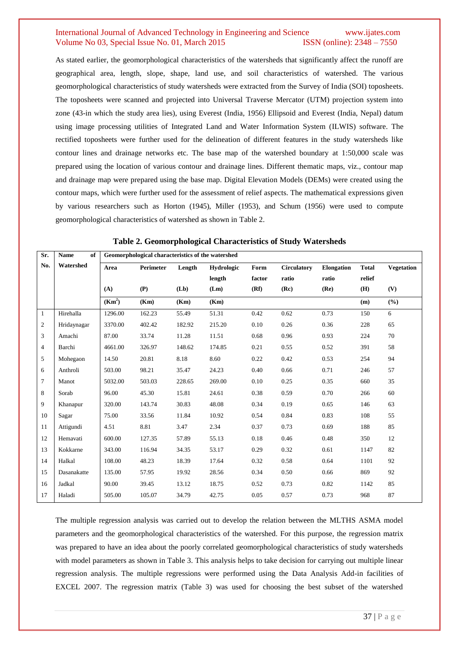As stated earlier, the geomorphological characteristics of the watersheds that significantly affect the runoff are geographical area, length, slope, shape, land use, and soil characteristics of watershed. The various geomorphological characteristics of study watersheds were extracted from the Survey of India (SOI) toposheets. The toposheets were scanned and projected into Universal Traverse Mercator (UTM) projection system into zone (43-in which the study area lies), using Everest (India, 1956) Ellipsoid and Everest (India, Nepal) datum using image processing utilities of Integrated Land and Water Information System (ILWIS) software. The rectified toposheets were further used for the delineation of different features in the study watersheds like contour lines and drainage networks etc. The base map of the watershed boundary at 1:50,000 scale was prepared using the location of various contour and drainage lines. Different thematic maps, viz., contour map and drainage map were prepared using the base map. Digital Elevation Models (DEMs) were created using the contour maps, which were further used for the assessment of relief aspects. The mathematical expressions given by various researchers such as Horton (1945), Miller (1953), and Schum (1956) were used to compute geomorphological characteristics of watershed as shown in Table 2.

| Sr.            | Name<br>of  | Geomorphological characteristics of the watershed |                  |        |            |        |                    |                   |              |                   |
|----------------|-------------|---------------------------------------------------|------------------|--------|------------|--------|--------------------|-------------------|--------------|-------------------|
| No.            | Watershed   | Area                                              | <b>Perimeter</b> | Length | Hydrologic | Form   | <b>Circulatory</b> | <b>Elongation</b> | <b>Total</b> | <b>Vegetation</b> |
|                |             |                                                   |                  |        | length     | factor | ratio              | ratio             | relief       |                   |
|                |             | (A)                                               | (P)              | (Lb)   | (Lm)       | (Rf)   | (Re)               | (Re)              | (H)          | (V)               |
|                |             | (Km <sup>2</sup> )                                | (Km)             | (Km)   | (Km)       |        |                    |                   | (m)          | (%)               |
| 1              | Hirehalla   | 1296.00                                           | 162.23           | 55.49  | 51.31      | 0.42   | 0.62               | 0.73              | 150          | 6                 |
| $\overline{c}$ | Hridaynagar | 3370.00                                           | 402.42           | 182.92 | 215.20     | 0.10   | 0.26               | 0.36              | 228          | 65                |
| 3              | Amachi      | 87.00                                             | 33.74            | 11.28  | 11.51      | 0.68   | 0.96               | 0.93              | 224          | 70                |
| $\overline{4}$ | Barchi      | 4661.00                                           | 326.97           | 148.62 | 174.85     | 0.21   | 0.55               | 0.52              | 391          | 58                |
| 5              | Mohegaon    | 14.50                                             | 20.81            | 8.18   | 8.60       | 0.22   | 0.42               | 0.53              | 254          | 94                |
| 6              | Anthroli    | 503.00                                            | 98.21            | 35.47  | 24.23      | 0.40   | 0.66               | 0.71              | 246          | 57                |
| $\overline{7}$ | Manot       | 5032.00                                           | 503.03           | 228.65 | 269.00     | 0.10   | 0.25               | 0.35              | 660          | 35                |
| 8              | Sorab       | 96.00                                             | 45.30            | 15.81  | 24.61      | 0.38   | 0.59               | 0.70              | 266          | 60                |
| 9              | Khanapur    | 320.00                                            | 143.74           | 30.83  | 48.08      | 0.34   | 0.19               | 0.65              | 146          | 63                |
| 10             | Sagar       | 75.00                                             | 33.56            | 11.84  | 10.92      | 0.54   | 0.84               | 0.83              | 108          | 55                |
| 11             | Attigundi   | 4.51                                              | 8.81             | 3.47   | 2.34       | 0.37   | 0.73               | 0.69              | 188          | 85                |
| 12             | Hemavati    | 600.00                                            | 127.35           | 57.89  | 55.13      | 0.18   | 0.46               | 0.48              | 350          | 12                |
| 13             | Kokkarne    | 343.00                                            | 116.94           | 34.35  | 53.17      | 0.29   | 0.32               | 0.61              | 1147         | 82                |
| 14             | Halkal      | 108.00                                            | 48.23            | 18.39  | 17.64      | 0.32   | 0.58               | 0.64              | 1101         | 92                |
| 15             | Dasanakatte | 135.00                                            | 57.95            | 19.92  | 28.56      | 0.34   | 0.50               | 0.66              | 869          | 92                |
| 16             | Jadkal      | 90.00                                             | 39.45            | 13.12  | 18.75      | 0.52   | 0.73               | 0.82              | 1142         | 85                |
| 17             | Haladi      | 505.00                                            | 105.07           | 34.79  | 42.75      | 0.05   | 0.57               | 0.73              | 968          | 87                |

**Table 2. Geomorphological Characteristics of Study Watersheds**

The multiple regression analysis was carried out to develop the relation between the MLTHS ASMA model parameters and the geomorphological characteristics of the watershed. For this purpose, the regression matrix was prepared to have an idea about the poorly correlated geomorphological characteristics of study watersheds with model parameters as shown in Table 3. This analysis helps to take decision for carrying out multiple linear regression analysis. The multiple regressions were performed using the Data Analysis Add-in facilities of EXCEL 2007. The regression matrix (Table 3) was used for choosing the best subset of the watershed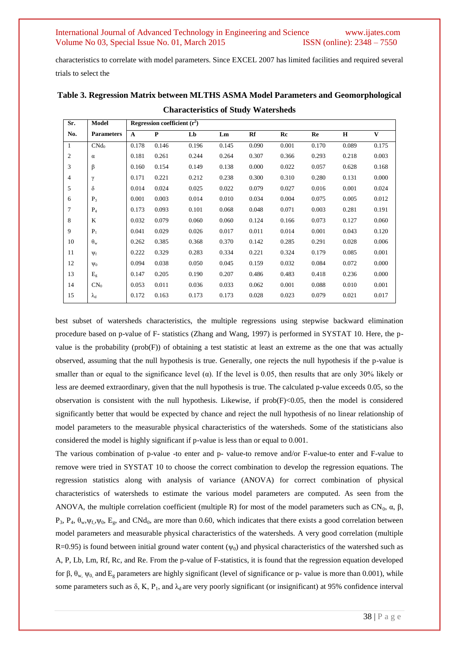characteristics to correlate with model parameters. Since EXCEL 2007 has limited facilities and required several trials to select the

| Sr.          | Model             | Regression coefficient $(r^2)$ |       |       |       |       |       |       |       |              |
|--------------|-------------------|--------------------------------|-------|-------|-------|-------|-------|-------|-------|--------------|
| No.          | <b>Parameters</b> | $\mathbf{A}$                   | P     | Lb    | Lm    | Rf    | Rc    | Re    | H     | $\mathbf{V}$ |
| $\mathbf{1}$ | CNd <sub>0</sub>  | 0.178                          | 0.146 | 0.196 | 0.145 | 0.090 | 0.001 | 0.170 | 0.089 | 0.175        |
| 2            | $\alpha$          | 0.181                          | 0.261 | 0.244 | 0.264 | 0.307 | 0.366 | 0.293 | 0.218 | 0.003        |
| 3            | β                 | 0.160                          | 0.154 | 0.149 | 0.138 | 0.000 | 0.022 | 0.057 | 0.628 | 0.168        |
| 4            | γ                 | 0.171                          | 0.221 | 0.212 | 0.238 | 0.300 | 0.310 | 0.280 | 0.131 | 0.000        |
| 5            | $\delta$          | 0.014                          | 0.024 | 0.025 | 0.022 | 0.079 | 0.027 | 0.016 | 0.001 | 0.024        |
| 6            | $P_3$             | 0.001                          | 0.003 | 0.014 | 0.010 | 0.034 | 0.004 | 0.075 | 0.005 | 0.012        |
| 7            | $P_4$             | 0.173                          | 0.093 | 0.101 | 0.068 | 0.048 | 0.071 | 0.003 | 0.281 | 0.191        |
| 8            | K                 | 0.032                          | 0.079 | 0.060 | 0.060 | 0.124 | 0.166 | 0.073 | 0.127 | 0.060        |
| 9            | $P_1$             | 0.041                          | 0.029 | 0.026 | 0.017 | 0.011 | 0.014 | 0.001 | 0.043 | 0.120        |
| 10           | $\theta_{\rm w}$  | 0.262                          | 0.385 | 0.368 | 0.370 | 0.142 | 0.285 | 0.291 | 0.028 | 0.006        |
| 11           | $\Psi_f$          | 0.222                          | 0.329 | 0.283 | 0.334 | 0.221 | 0.324 | 0.179 | 0.085 | 0.001        |
| 12           | $\Psi_0$          | 0.094                          | 0.038 | 0.050 | 0.045 | 0.159 | 0.032 | 0.084 | 0.072 | 0.000        |
| 13           | $E_{\rm g}$       | 0.147                          | 0.205 | 0.190 | 0.207 | 0.486 | 0.483 | 0.418 | 0.236 | 0.000        |
| 14           | CN <sub>0</sub>   | 0.053                          | 0.011 | 0.036 | 0.033 | 0.062 | 0.001 | 0.088 | 0.010 | 0.001        |
| 15           | $\lambda_{\rm d}$ | 0.172                          | 0.163 | 0.173 | 0.173 | 0.028 | 0.023 | 0.079 | 0.021 | 0.017        |

# **Table 3. Regression Matrix between MLTHS ASMA Model Parameters and Geomorphological Characteristics of Study Watersheds**

best subset of watersheds characteristics, the multiple regressions using stepwise backward elimination procedure based on p-value of F- statistics (Zhang and Wang, 1997) is performed in SYSTAT 10. Here, the pvalue is the probability ( $prob(F)$ ) of obtaining a test statistic at least an extreme as the one that was actually observed, assuming that the null hypothesis is true. Generally, one rejects the null hypothesis if the p-value is smaller than or equal to the significance level ( $\alpha$ ). If the level is 0.05, then results that are only 30% likely or less are deemed extraordinary, given that the null hypothesis is true. The calculated p-value exceeds 0.05, so the observation is consistent with the null hypothesis. Likewise, if  $prob(F) < 0.05$ , then the model is considered significantly better that would be expected by chance and reject the null hypothesis of no linear relationship of model parameters to the measurable physical characteristics of the watersheds. Some of the statisticians also considered the model is highly significant if p-value is less than or equal to 0.001.

The various combination of p-value -to enter and p- value-to remove and/or F-value-to enter and F-value to remove were tried in SYSTAT 10 to choose the correct combination to develop the regression equations. The regression statistics along with analysis of variance (ANOVA) for correct combination of physical characteristics of watersheds to estimate the various model parameters are computed. As seen from the ANOVA, the multiple correlation coefficient (multiple R) for most of the model parameters such as CN<sub>0</sub>,  $\alpha$ ,  $\beta$ , P<sub>3</sub>, P<sub>4</sub>,  $\theta_w, \psi_f, \psi_0, E_g$ , and CNd<sub>0</sub>, are more than 0.60, which indicates that there exists a good correlation between model parameters and measurable physical characteristics of the watersheds. A very good correlation (multiple  $R=0.95$ ) is found between initial ground water content ( $\psi_0$ ) and physical characteristics of the watershed such as A, P, Lb, Lm, Rf, Rc, and Re. From the p-value of F-statistics, it is found that the regression equation developed for β,  $θ_w$ ,  $ψ_0$ , and  $E_g$  parameters are highly significant (level of significance or p- value is more than 0.001), while some parameters such as  $\delta$ , K, P<sub>1</sub>, and  $\lambda_d$  are very poorly significant (or insignificant) at 95% confidence interval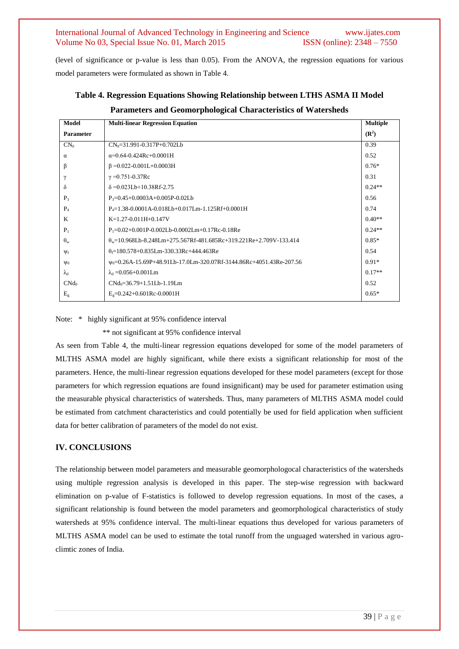(level of significance or p-value is less than 0.05). From the ANOVA, the regression equations for various model parameters were formulated as shown in Table 4.

| Model             | <b>Multi-linear Regression Equation</b>                                         | <b>Multiple</b>  |
|-------------------|---------------------------------------------------------------------------------|------------------|
| <b>Parameter</b>  |                                                                                 | $(\mathbb{R}^2)$ |
| $CN_0$            | $CN_0 = 31.991 - 0.317P + 0.702Lb$                                              | 0.39             |
| $\alpha$          | $\alpha$ =0.64-0.424Rc+0.0001H                                                  | 0.52             |
| β                 | $\beta = 0.022 - 0.001L + 0.0003H$                                              | $0.76*$          |
| γ                 | $\gamma = 0.751 - 0.37$ Rc                                                      | 0.31             |
| δ                 | $\delta = 0.023Lb + 10.38Rf - 2.75$                                             | $0.24**$         |
| $P_3$             | $P_3 = 0.45 + 0.0003A + 0.005P - 0.02Lb$                                        | 0.56             |
| $P_4$             | $P_4=1.38-0.0001A-0.018Lb+0.017Lm-1.125Rf+0.0001H$                              | 0.74             |
| K                 | $K=1.27-0.011H+0.147V$                                                          | $0.40**$         |
| $P_1$             | $P_1 = 0.02 + 0.001P - 0.002Lb - 0.0002Lm + 0.17Rc - 0.18Re$                    | $0.24**$         |
| $\theta_{\rm w}$  | $\theta_w=10.968$ Lb-8.248Lm+275.567Rf-481.685Rc+319.221Re+2.709V-133.414       | $0.85*$          |
| $\Psi_f$          | $\theta = 180.578 + 0.835$ Lm-330.33Rc+444.463Re                                | 0.54             |
| $\Psi_0$          | ψ <sub>0</sub> =0.26A-15.69P+48.91Lb-17.0Lm-320.07Rf-3144.86Rc+4051.43Re-207.56 | $0.91*$          |
| $\lambda_{\rm d}$ | $\lambda_d = 0.056 + 0.001$ Lm                                                  | $0.17**$         |
| CNd <sub>0</sub>  | $CNd0=36.79+1.51Lb-1.19Lm$                                                      | 0.52             |
| E <sub>g</sub>    | $Eg=0.242+0.601Rc-0.0001H$                                                      | $0.65*$          |
|                   |                                                                                 |                  |

**Table 4. Regression Equations Showing Relationship between LTHS ASMA II Model Parameters and Geomorphological Characteristics of Watersheds**

Note: \* highly significant at 95% confidence interval

\*\* not significant at 95% confidence interval

As seen from Table 4, the multi-linear regression equations developed for some of the model parameters of MLTHS ASMA model are highly significant, while there exists a significant relationship for most of the parameters. Hence, the multi-linear regression equations developed for these model parameters (except for those parameters for which regression equations are found insignificant) may be used for parameter estimation using the measurable physical characteristics of watersheds. Thus, many parameters of MLTHS ASMA model could be estimated from catchment characteristics and could potentially be used for field application when sufficient data for better calibration of parameters of the model do not exist.

# **IV. CONCLUSIONS**

The relationship between model parameters and measurable geomorphologocal characteristics of the watersheds using multiple regression analysis is developed in this paper. The step-wise regression with backward elimination on p-value of F-statistics is followed to develop regression equations. In most of the cases, a significant relationship is found between the model parameters and geomorphological characteristics of study watersheds at 95% confidence interval. The multi-linear equations thus developed for various parameters of MLTHS ASMA model can be used to estimate the total runoff from the unguaged watershed in various agroclimtic zones of India.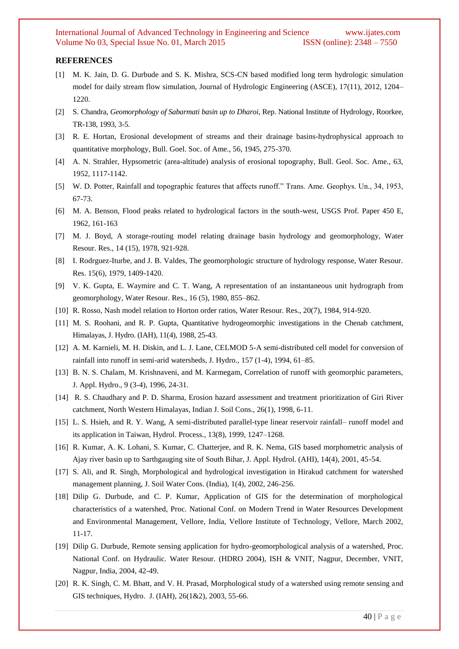#### **REFERENCES**

- [1] M. K. Jain, D. G. Durbude and S. K. Mishra, SCS-CN based modified long term hydrologic simulation model for daily stream flow simulation, Journal of Hydrologic Engineering (ASCE), 17(11), 2012, 1204– 1220.
- [2] S. Chandra, *Geomorphology of Sabarmati basin up to Dharoi*, Rep. National Institute of Hydrology, Roorkee, TR-138, 1993, 3-5.
- [3] R. E. Hortan, Erosional development of streams and their drainage basins-hydrophysical approach to quantitative morphology, Bull. Goel. Soc. of Ame., 56, 1945, 275-370.
- [4] A. N. Strahler, Hypsometric (area-altitude) analysis of erosional topography, Bull. Geol. Soc. Ame., 63, 1952, 1117-1142.
- [5] W. D. Potter, Rainfall and topographic features that affects runoff." Trans. Ame. Geophys. Un., 34, 1953, 67-73.
- [6] M. A. Benson, Flood peaks related to hydrological factors in the south-west, USGS Prof. Paper 450 E, 1962, 161-163
- [7] M. J. Boyd, A storage-routing model relating drainage basin hydrology and geomorphology, Water Resour. Res., 14 (15), 1978, 921-928.
- [8] I. Rodrguez-Iturbe, and J. B. Valdes, The geomorphologic structure of hydrology response, Water Resour. Res. 15(6), 1979, 1409-1420.
- [9] V. K. Gupta, E. Waymire and C. T. Wang, A representation of an instantaneous unit hydrograph from geomorphology, Water Resour. Res., 16 (5), 1980, 855–862.
- [10] R. Rosso, Nash model relation to Horton order ratios, Water Resour. Res., 20(7), 1984, 914-920.
- [11] M. S. Roohani, and R. P. Gupta, Quantitative hydrogeomorphic investigations in the Chenab catchment, Himalayas, J. Hydro. (IAH), 11(4), 1988, 25-43.
- [12] A. M. Karnieli, M. H. Diskin, and L. J. Lane, CELMOD 5-A semi-distributed cell model for conversion of rainfall into runoff in semi-arid watersheds, J. Hydro., 157 (1-4), 1994, 61–85.
- [13] B. N. S. Chalam, M. Krishnaveni, and M. Karmegam, Correlation of runoff with geomorphic parameters, J. Appl. Hydro., 9 (3-4), 1996, 24-31.
- [14] R. S. Chaudhary and P. D. Sharma, Erosion hazard assessment and treatment prioritization of Giri River catchment, North Western Himalayas, Indian J. Soil Cons., 26(1), 1998, 6-11.
- [15] L. S. Hsieh, and R. Y. Wang, A semi-distributed parallel-type linear reservoir rainfall– runoff model and its application in Taiwan, Hydrol. Process., 13(8), 1999, 1247–1268.
- [16] R. Kumar, A. K. Lohani, S. Kumar, C. Chatterjee, and R. K. Nema, GIS based morphometric analysis of Ajay river basin up to Sarthgauging site of South Bihar, J. Appl. Hydrol. (AHI), 14(4), 2001, 45-54.
- [17] S. Ali, and R. Singh, Morphological and hydrological investigation in Hirakud catchment for watershed management planning, J. Soil Water Cons. (India), 1(4), 2002, 246-256.
- [18] Dilip G. Durbude, and C. P. Kumar, Application of GIS for the determination of morphological characteristics of a watershed, Proc. National Conf. on Modern Trend in Water Resources Development and Environmental Management, Vellore, India, Vellore Institute of Technology, Vellore, March 2002, 11-17.
- [19] Dilip G. Durbude, Remote sensing application for hydro-geomorphological analysis of a watershed, Proc. National Conf. on Hydraulic. Water Resour. (HDRO 2004), ISH & VNIT, Nagpur, December, VNIT, Nagpur, India, 2004, 42-49.
- [20] R. K. Singh, C. M. Bhatt, and V. H. Prasad, Morphological study of a watershed using remote sensing and GIS techniques, Hydro. J. (IAH), 26(1&2), 2003, 55-66.